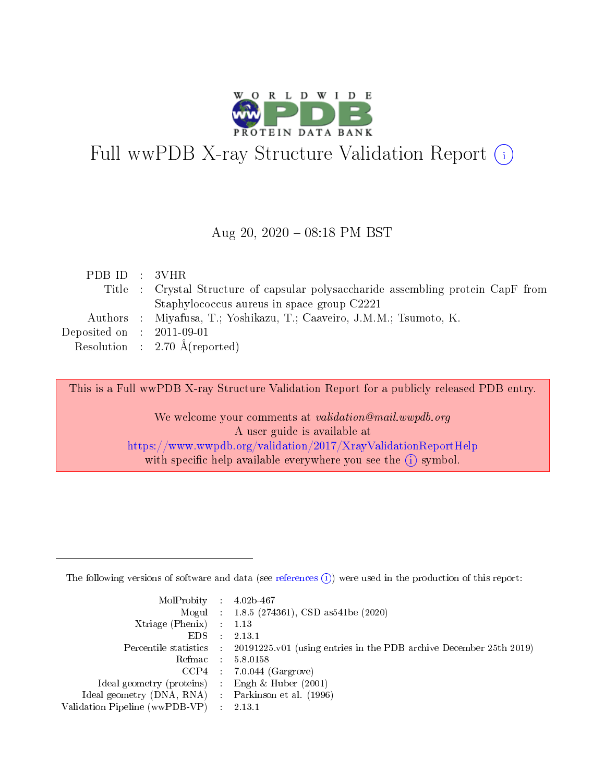

# Full wwPDB X-ray Structure Validation Report (i)

#### Aug 20,  $2020 - 08:18$  PM BST

| PDB ID : 3VHR               |                                                                                   |
|-----------------------------|-----------------------------------------------------------------------------------|
|                             | Title : Crystal Structure of capsular polysaccharide assembling protein CapF from |
|                             | Staphylococcus aureus in space group C2221                                        |
|                             | Authors : Miyafusa, T.; Yoshikazu, T.; Caaveiro, J.M.M.; Tsumoto, K.              |
| Deposited on : $2011-09-01$ |                                                                                   |
|                             | Resolution : 2.70 $\AA$ (reported)                                                |

This is a Full wwPDB X-ray Structure Validation Report for a publicly released PDB entry.

We welcome your comments at validation@mail.wwpdb.org A user guide is available at <https://www.wwpdb.org/validation/2017/XrayValidationReportHelp> with specific help available everywhere you see the  $(i)$  symbol.

The following versions of software and data (see [references](https://www.wwpdb.org/validation/2017/XrayValidationReportHelp#references)  $(1)$ ) were used in the production of this report:

| $MolProbability$ : 4.02b-467                      |                              |                                                                                            |
|---------------------------------------------------|------------------------------|--------------------------------------------------------------------------------------------|
|                                                   |                              | Mogul : $1.8.5$ (274361), CSD as 541be (2020)                                              |
| Xtriage (Phenix) $: 1.13$                         |                              |                                                                                            |
| EDS.                                              | $\mathcal{L}$                | 2.13.1                                                                                     |
|                                                   |                              | Percentile statistics : 20191225.v01 (using entries in the PDB archive December 25th 2019) |
| Refmac : 5.8.0158                                 |                              |                                                                                            |
|                                                   |                              | $CCP4$ 7.0.044 (Gargrove)                                                                  |
| Ideal geometry (proteins)                         | $\mathcal{L}_{\mathrm{eff}}$ | Engh $\&$ Huber (2001)                                                                     |
| Ideal geometry (DNA, RNA) Parkinson et al. (1996) |                              |                                                                                            |
| Validation Pipeline (wwPDB-VP) : 2.13.1           |                              |                                                                                            |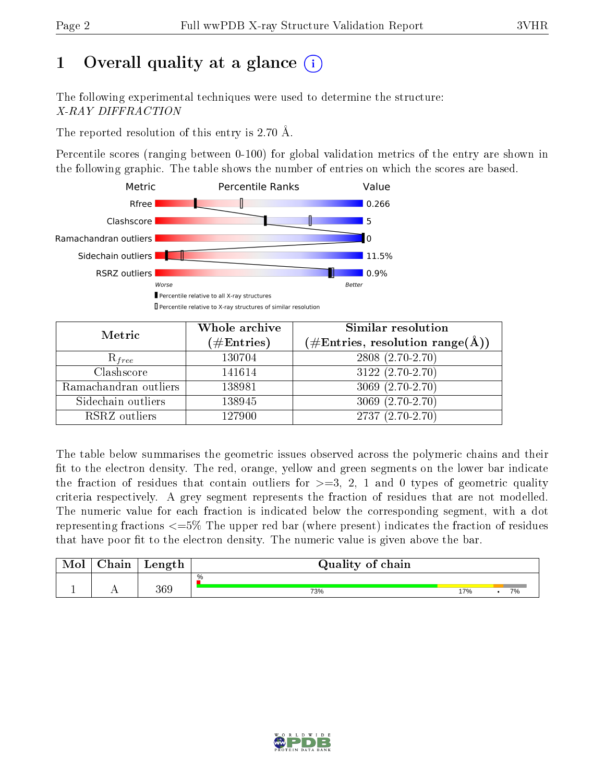## 1 [O](https://www.wwpdb.org/validation/2017/XrayValidationReportHelp#overall_quality)verall quality at a glance  $(i)$

The following experimental techniques were used to determine the structure: X-RAY DIFFRACTION

The reported resolution of this entry is 2.70 Å.

Percentile scores (ranging between 0-100) for global validation metrics of the entry are shown in the following graphic. The table shows the number of entries on which the scores are based.



| Metric                | Whole archive<br>$(\#\mathrm{Entries})$ | Similar resolution<br>$(\#\text{Entries}, \text{resolution range}(\textup{\AA}))$ |
|-----------------------|-----------------------------------------|-----------------------------------------------------------------------------------|
| $R_{free}$            | 130704                                  | 2808 (2.70-2.70)                                                                  |
| Clashscore            | 141614                                  | $3122(2.70-2.70)$                                                                 |
| Ramachandran outliers | 138981                                  | 3069 (2.70-2.70)                                                                  |
| Sidechain outliers    | 138945                                  | $3069(2.70-2.70)$                                                                 |
| RSRZ outliers         | 127900                                  | $2737(2.70-2.70)$                                                                 |

The table below summarises the geometric issues observed across the polymeric chains and their fit to the electron density. The red, orange, yellow and green segments on the lower bar indicate the fraction of residues that contain outliers for  $>=3, 2, 1$  and 0 types of geometric quality criteria respectively. A grey segment represents the fraction of residues that are not modelled. The numeric value for each fraction is indicated below the corresponding segment, with a dot representing fractions  $\epsilon=5\%$  The upper red bar (where present) indicates the fraction of residues that have poor fit to the electron density. The numeric value is given above the bar.

| Mol       | $\alpha$ hain | Length | Quality of chain |    |  |    |  |  |  |
|-----------|---------------|--------|------------------|----|--|----|--|--|--|
|           |               |        | $\%$             |    |  |    |  |  |  |
| <u>д.</u> | $\sim$ $\sim$ | 369    | 73%              | 7% |  | 7% |  |  |  |

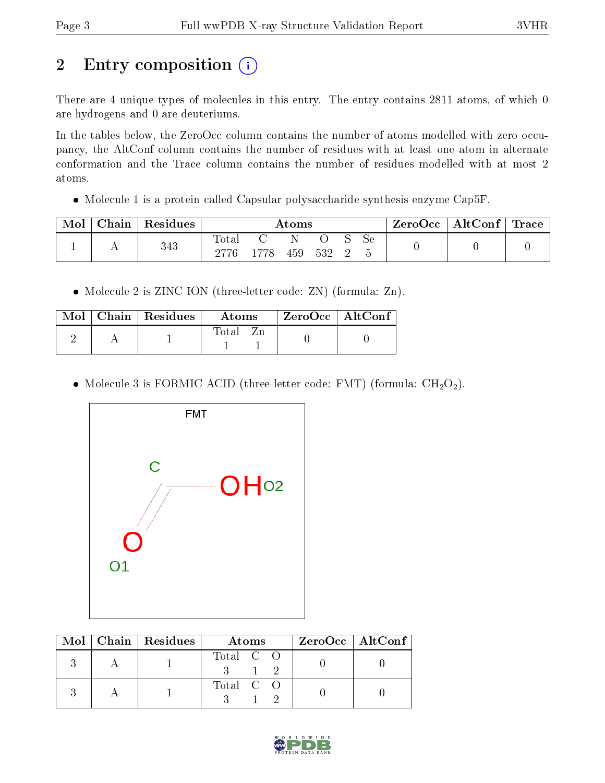## 2 Entry composition (i)

There are 4 unique types of molecules in this entry. The entry contains 2811 atoms, of which 0 are hydrogens and 0 are deuteriums.

In the tables below, the ZeroOcc column contains the number of atoms modelled with zero occupancy, the AltConf column contains the number of residues with at least one atom in alternate conformation and the Trace column contains the number of residues modelled with at most 2 atoms.

• Molecule 1 is a protein called Capsular polysaccharide synthesis enzyme Cap5F.

| Mol | ${\rm Chain}$ + | Residues | Atoms |      |     |     |  | $\text{ZeroOcc}$   AltConf   Trace |  |  |
|-----|-----------------|----------|-------|------|-----|-----|--|------------------------------------|--|--|
|     | . .             | 343      | Total | 1778 | 459 | 532 |  | Sе                                 |  |  |

• Molecule 2 is ZINC ION (three-letter code: ZN) (formula: Zn).

|  | $\overline{\text{Mol}}$ Chain   Residues | Atoms    | $\mid$ ZeroOcc $\mid$ AltConf |  |
|--|------------------------------------------|----------|-------------------------------|--|
|  |                                          | Total Zn |                               |  |

• Molecule 3 is FORMIC ACID (three-letter code: FMT) (formula:  $CH<sub>2</sub>O<sub>2</sub>$ ).



|  | $Mol$   Chain   Residues | Atoms     | ZeroOcc   AltConf |
|--|--------------------------|-----------|-------------------|
|  |                          | Total C O |                   |
|  |                          | Total C O |                   |

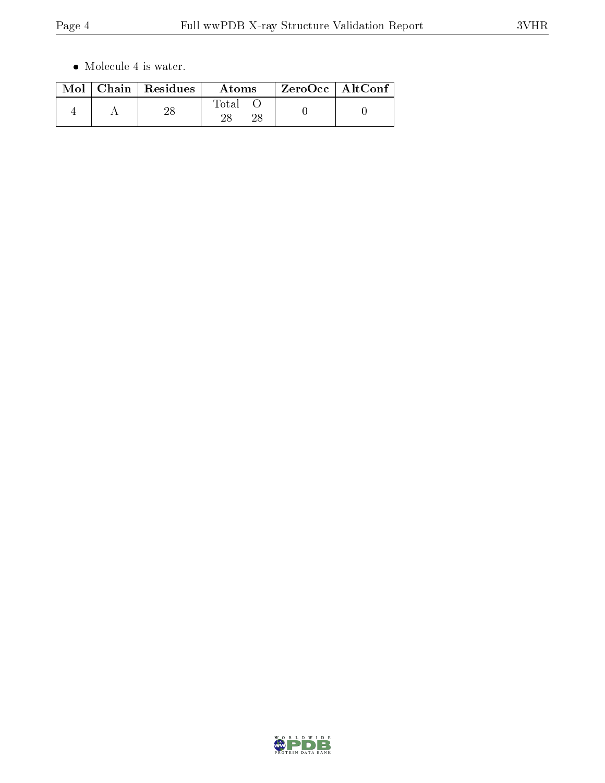$\bullet\,$  Molecule 4 is water.

|  | $\text{Mol}$   Chain   Residues | Atoms | $ZeroOcc \mid AltConf \mid$ |
|--|---------------------------------|-------|-----------------------------|
|  |                                 | Fotal |                             |

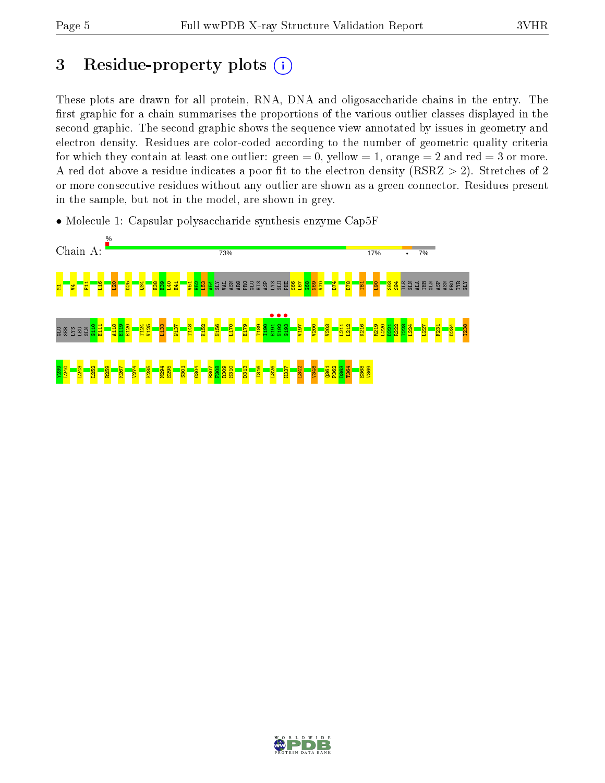## 3 Residue-property plots  $(i)$

These plots are drawn for all protein, RNA, DNA and oligosaccharide chains in the entry. The first graphic for a chain summarises the proportions of the various outlier classes displayed in the second graphic. The second graphic shows the sequence view annotated by issues in geometry and electron density. Residues are color-coded according to the number of geometric quality criteria for which they contain at least one outlier: green  $= 0$ , yellow  $= 1$ , orange  $= 2$  and red  $= 3$  or more. A red dot above a residue indicates a poor fit to the electron density ( $RSRZ > 2$ ). Stretches of 2 or more consecutive residues without any outlier are shown as a green connector. Residues present in the sample, but not in the model, are shown in grey.

• Molecule 1: Capsular polysaccharide synthesis enzyme Cap5F



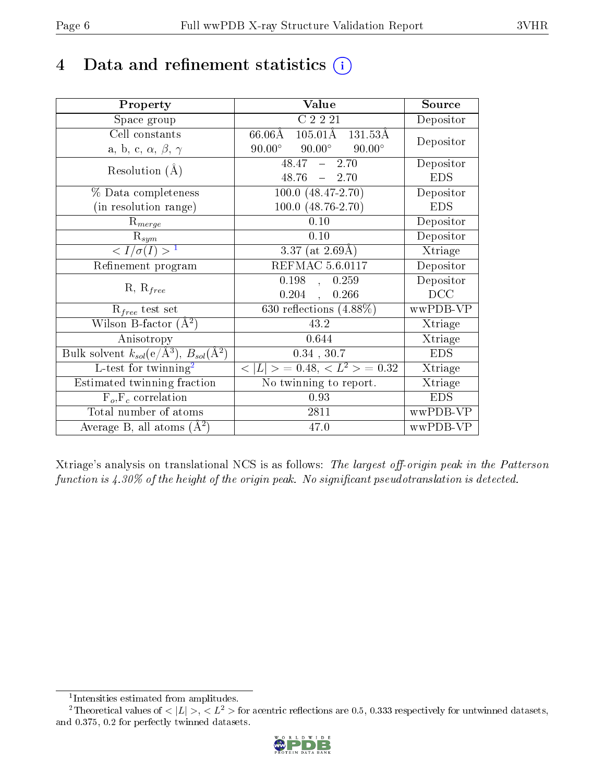## 4 Data and refinement statistics  $(i)$

| Property                                                   | Value                                                         | Source     |
|------------------------------------------------------------|---------------------------------------------------------------|------------|
| Space group                                                | C2221                                                         | Depositor  |
| Cell constants                                             | $105.01\text{\AA}$<br>$66.06\text{\AA}$<br>$131.53\text{\AA}$ |            |
| a, b, c, $\alpha$ , $\beta$ , $\gamma$                     | $90.00^\circ$<br>$90.00^\circ$<br>$90.00^\circ$               | Depositor  |
| Resolution $(A)$                                           | $48.47 - 2.70$                                                | Depositor  |
|                                                            | $48.76 - 2.70$                                                | <b>EDS</b> |
| % Data completeness                                        | $\overline{100.0 (48.47-2.70)}$                               | Depositor  |
| (in resolution range)                                      | 100.0 (48.76-2.70)                                            | <b>EDS</b> |
| $R_{merge}$                                                | 0.10                                                          | Depositor  |
| $\mathrm{R}_{sym}$                                         | 0.10                                                          | Depositor  |
| $\overline{1$                                              | 3.37 (at $2.69\text{\AA}$ )                                   | Xtriage    |
| Refinement program                                         | <b>REFMAC 5.6.0117</b>                                        | Depositor  |
|                                                            | 0.198,<br>0.259                                               | Depositor  |
| $R, R_{free}$                                              | 0.204<br>0.266<br>$\ddot{\phantom{a}}$                        | DCC        |
| $R_{free}$ test set                                        | 630 reflections $(4.88\%)$                                    | wwPDB-VP   |
| Wilson B-factor $(A^2)$                                    | 43.2                                                          | Xtriage    |
| Anisotropy                                                 | 0.644                                                         | Xtriage    |
| Bulk solvent $k_{sol}$ (e/Å <sup>3</sup> ), $B_{sol}(A^2)$ | $0.34$ , $30.7$                                               | <b>EDS</b> |
| L-test for twinning <sup>2</sup>                           | $< L >$ = 0.48, $< L2 >$ = 0.32                               | Xtriage    |
| Estimated twinning fraction                                | No twinning to report.                                        | Xtriage    |
| $F_o, F_c$ correlation                                     | 0.93                                                          | <b>EDS</b> |
| Total number of atoms                                      | 2811                                                          | wwPDB-VP   |
| Average B, all atoms $(A^2)$                               | 47.0                                                          | wwPDB-VP   |

Xtriage's analysis on translational NCS is as follows: The largest off-origin peak in the Patterson function is  $4.30\%$  of the height of the origin peak. No significant pseudotranslation is detected.

<sup>&</sup>lt;sup>2</sup>Theoretical values of  $\langle |L| \rangle$ ,  $\langle L^2 \rangle$  for acentric reflections are 0.5, 0.333 respectively for untwinned datasets, and 0.375, 0.2 for perfectly twinned datasets.



<span id="page-5-1"></span><span id="page-5-0"></span><sup>1</sup> Intensities estimated from amplitudes.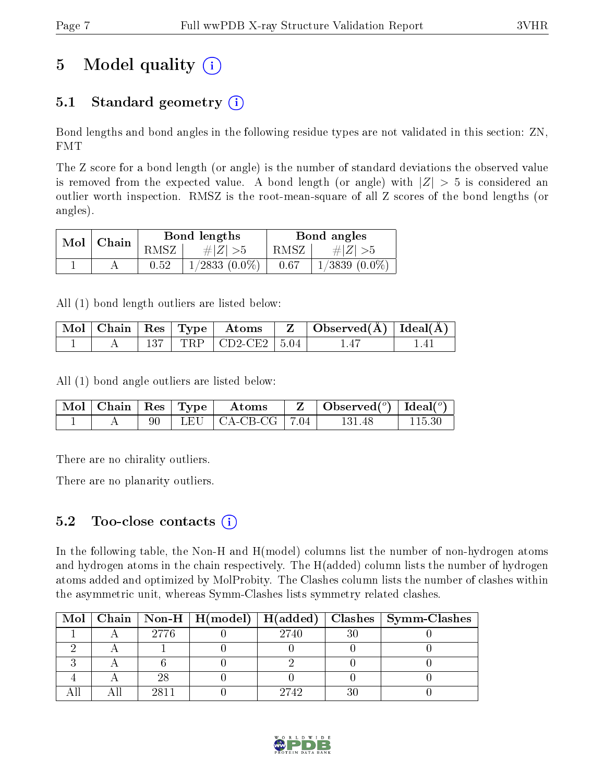## 5 Model quality  $(i)$

## 5.1 Standard geometry  $(i)$

Bond lengths and bond angles in the following residue types are not validated in this section: ZN, FMT

The Z score for a bond length (or angle) is the number of standard deviations the observed value is removed from the expected value. A bond length (or angle) with  $|Z| > 5$  is considered an outlier worth inspection. RMSZ is the root-mean-square of all Z scores of the bond lengths (or angles).

| Mol | $\perp$ Chain |      | Bond lengths       | Bond angles |                    |  |
|-----|---------------|------|--------------------|-------------|--------------------|--|
|     |               | RMSZ | # $ Z  > 5$        | RMSZ        | # $ Z  > 5$        |  |
|     |               | 0.52 | $1/2833$ $(0.0\%)$ | 0.67        | $1/3839$ $(0.0\%)$ |  |

All (1) bond length outliers are listed below:

|  |  |                              | $\mid$ Mol $\mid$ Chain $\mid$ Res $\mid$ Type $\mid$ Atoms $\mid$ Z $\mid$ Observed(Å) $\mid$ Ideal(Å) $\mid$ |  |
|--|--|------------------------------|----------------------------------------------------------------------------------------------------------------|--|
|  |  | 137   TRP   CD2-CE2   $5.04$ |                                                                                                                |  |

All (1) bond angle outliers are listed below:

|  |  | $\vert$ Mol $\vert$ Chain $\vert$ Res $\vert$ Type $\vert$ Atoms | $\mathbf{Z}$   Observed( $^o$ )   Ideal( $^o$ ) |  |
|--|--|------------------------------------------------------------------|-------------------------------------------------|--|
|  |  | 90   LEU   CA-CB-CG   $7.04$                                     | 131 48                                          |  |

There are no chirality outliers.

There are no planarity outliers.

### $5.2$  Too-close contacts  $(i)$

In the following table, the Non-H and H(model) columns list the number of non-hydrogen atoms and hydrogen atoms in the chain respectively. The H(added) column lists the number of hydrogen atoms added and optimized by MolProbity. The Clashes column lists the number of clashes within the asymmetric unit, whereas Symm-Clashes lists symmetry related clashes.

|  |      |      | Mol   Chain   Non-H   H(model)   H(added)   Clashes   Symm-Clashes |
|--|------|------|--------------------------------------------------------------------|
|  | 2776 | 2740 |                                                                    |
|  |      |      |                                                                    |
|  |      |      |                                                                    |
|  |      |      |                                                                    |
|  | 9811 | 2742 |                                                                    |

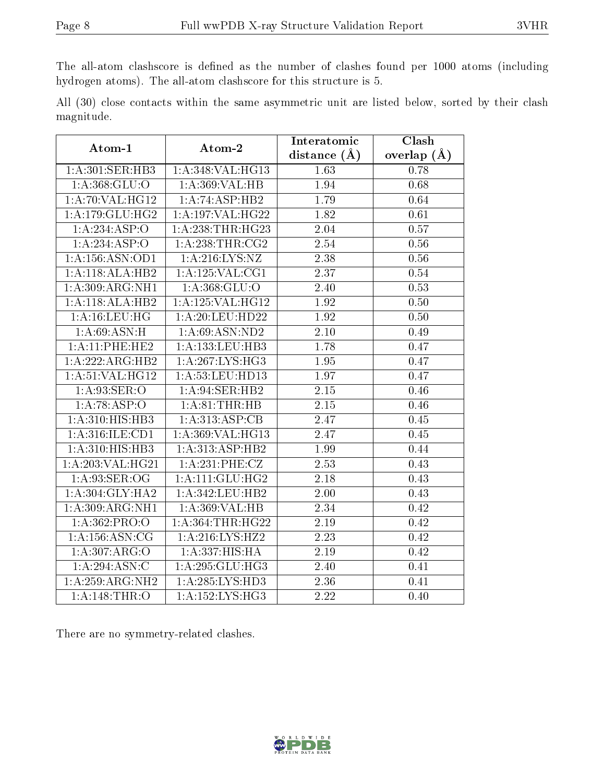The all-atom clashscore is defined as the number of clashes found per 1000 atoms (including hydrogen atoms). The all-atom clashscore for this structure is 5.

All (30) close contacts within the same asymmetric unit are listed below, sorted by their clash magnitude.

| Atom-1             | Atom-2                       | Interatomic       | Clash         |  |
|--------------------|------------------------------|-------------------|---------------|--|
|                    |                              | distance (Å)      | overlap $(A)$ |  |
| 1: A:301: SER:HB3  | 1:A:348:VAL:HG13             | 1.63              | 0.78          |  |
| 1: A: 368: GLU:O   | 1: A:369: VAL:HB             | 1.94              | 0.68          |  |
| 1: A:70: VAL:HG12  | 1:A:74:ASP:HB2               | 1.79              | 0.64          |  |
| 1: A:179: GLU: HG2 | 1:A:197:VAL:HG22             | 1.82              | 0.61          |  |
| 1:A:234:ASP:O      | 1:A:238:THR:HG23             | 2.04              | 0.57          |  |
| 1:A:234:ASP:O      | $1:$ A:238:THR:CG2           | 2.54              | 0.56          |  |
| 1:A:156:ASN:OD1    | 1: A:216:LYS:NZ              | $\overline{2.38}$ | 0.56          |  |
| 1:A:118:ALA:HB2    | 1: A: 125: VAL: CG1          | 2.37              | 0.54          |  |
| 1:A:309:ARG:NH1    | 1: A: 368: GLU:O             | 2.40              | 0.53          |  |
| 1:A:118:ALA:HB2    | 1: A: 125: VAL: HG12         | $\overline{1.92}$ | 0.50          |  |
| 1: A:16:LEU:HG     | 1:A:20:LEU:HD22              | 1.92              | 0.50          |  |
| 1:A:69:ASN:H       | 1: A:69: ASN:ND2             | 2.10              | 0.49          |  |
| 1:A:11:PHE:HE2     | 1: A: 133: LEU: HB3          | 1.78              | 0.47          |  |
| 1:A:222:ARG:HB2    | 1:A:267:LYS:HG3              | 1.95              | 0.47          |  |
| 1:A:51:VAL:HG12    | 1:A:53:LEU:HD13              | 1.97              | 0.47          |  |
| 1: A:93: SER:O     | 1:A:94:SER:HB2               | $2.15\,$          | 0.46          |  |
| 1: A:78: ASP:O     | 1:A:81:THR:HB                | $2.15\,$          | 0.46          |  |
| 1:A:310:HIS:HB3    | 1:A:313:ASP:CB               | 2.47              | 0.45          |  |
| 1:A:316:ILE:CD1    | 1:A:369:VAL:HG13             | 2.47              | 0.45          |  |
| 1: A: 310:HIS: HB3 | 1:A:313:ASP:HB2              | 1.99              | 0.44          |  |
| 1: A:203:VAL:HG21  | 1: A:231: PHE: CZ            | 2.53              | 0.43          |  |
| 1: A:93: SER:OG    | 1:A:111:GLU:HG2              | 2.18              | 0.43          |  |
| 1: A:304: GLY:HA2  | 1:A:342:LEU:HB2              | 2.00              | 0.43          |  |
| 1:A:309:ARG:NH1    | 1:A:369:VAL:HB               | $\overline{2.34}$ | 0.42          |  |
| 1:A:362:PRO:O      | 1: A: 364: THR: HG22         | 2.19              | 0.42          |  |
| 1: A: 156: ASN: CG | 1:A:216:LYS:HZ2              | 2.23              | 0.42          |  |
| 1:A:307:ARG:O      | 1:A:337:HIS:HA               | 2.19              | 0.42          |  |
| 1: A:294:ASN:C     | 1:A:295:GLU:HG3              | 2.40              | 0.41          |  |
| 1:A:259:ARG:NH2    | 1: A: 285: LYS: HD3          | 2.36              | 0.41          |  |
| 1: A:148:THR:O     | $1:A:152:LY\overline{S:HG3}$ | 2.22              | 0.40          |  |

There are no symmetry-related clashes.

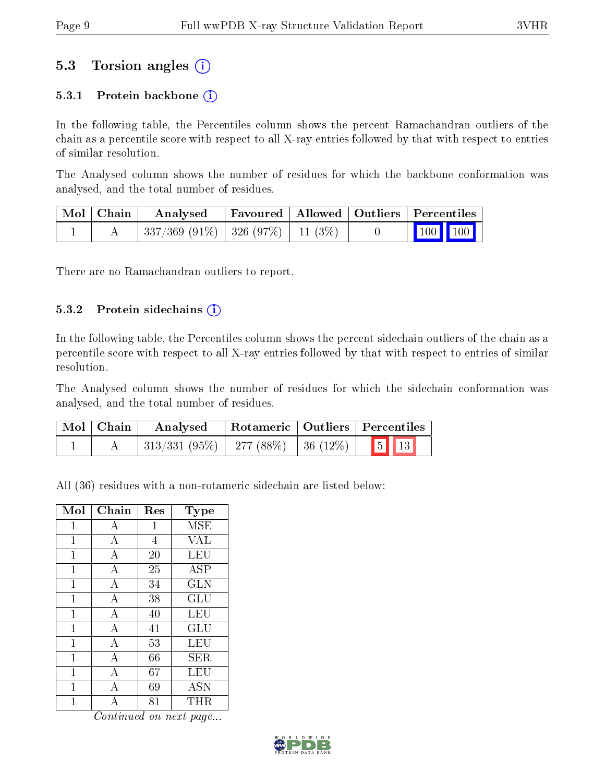## 5.3 Torsion angles (i)

### 5.3.1 Protein backbone  $(i)$

In the following table, the Percentiles column shows the percent Ramachandran outliers of the chain as a percentile score with respect to all X-ray entries followed by that with respect to entries of similar resolution.

The Analysed column shows the number of residues for which the backbone conformation was analysed, and the total number of residues.

| $\mid$ Mol $\mid$ Chain $\mid$ | $\bold{Analysed}$                        |  | Favoured   Allowed   Outliers   Percentiles                               |  |
|--------------------------------|------------------------------------------|--|---------------------------------------------------------------------------|--|
|                                | $337/369$ (91\%)   326 (97\%)   11 (3\%) |  | $\begin{array}{ c c c c c c }\n\hline\n100 & 100 & \\\hline\n\end{array}$ |  |

There are no Ramachandran outliers to report.

#### 5.3.2 Protein sidechains  $(i)$

In the following table, the Percentiles column shows the percent sidechain outliers of the chain as a percentile score with respect to all X-ray entries followed by that with respect to entries of similar resolution.

The Analysed column shows the number of residues for which the sidechain conformation was analysed, and the total number of residues.

| Mol   Chain | Analysed                             |  | Rotameric   Outliers   Percentiles |  |  |
|-------------|--------------------------------------|--|------------------------------------|--|--|
|             | 313/331 (95%)   277 (88%)   36 (12%) |  | $\boxed{5}$ $\boxed{13}$           |  |  |

All (36) residues with a non-rotameric sidechain are listed below:

| Mol          | Chain          | Res | Type       |
|--------------|----------------|-----|------------|
| 1            | А              | 1   | MSE        |
| 1            | A              | 4   | VAL        |
| 1            | А              | 20  | LEU        |
| 1            | A              | 25  | ASP        |
| $\mathbf{1}$ | $\bf{A}$       | 34  | <b>GLN</b> |
| 1            | А              | 38  | GLU        |
| $\mathbf 1$  | $\overline{A}$ | 40  | LEU        |
| $\mathbf{1}$ | $\overline{A}$ | 41  | GLU        |
| 1            | А              | 53  | LEU        |
| $\mathbf 1$  | $\mathbf{A}$   | 66  | SER        |
| 1            | А              | 67  | LEU        |
| 1            | A              | 69  | <b>ASN</b> |
| 1            | А              | 81  | THR.       |

Continued on next page...

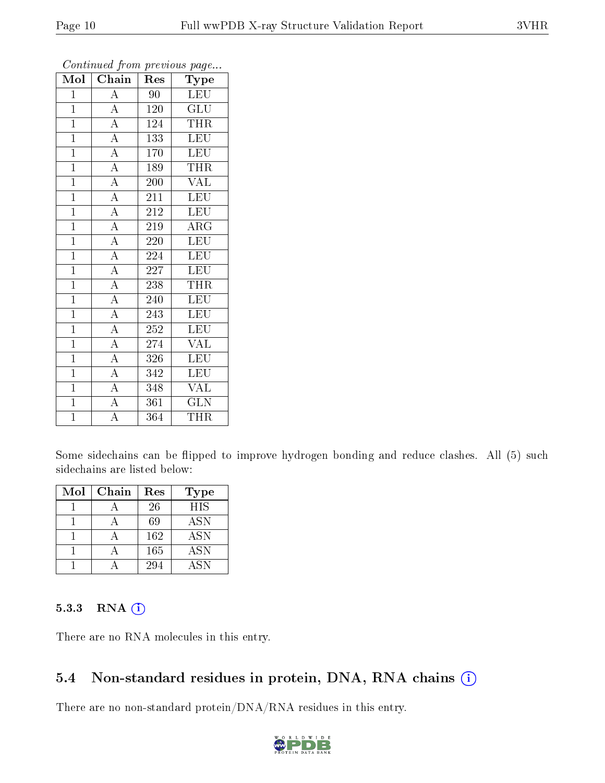| $\overline{\text{Mol}}$ | $\overline{\text{Chain}}$ | Res | Type                    |
|-------------------------|---------------------------|-----|-------------------------|
| $\mathbf{1}$            | $\overline{A}$            | 90  | <b>LEU</b>              |
| $\mathbf{1}$            | $\overline{A}$            | 120 | $\overline{\text{GLU}}$ |
| $\overline{1}$          | $\overline{A}$            | 124 | <b>THR</b>              |
| $\mathbf{1}$            | $\overline{\overline{A}}$ | 133 | <b>LEU</b>              |
| $\mathbf{1}$            | $\overline{A}$            | 170 | <b>LEU</b>              |
| $\mathbf{1}$            | $\overline{A}$            | 189 | THR                     |
| $\overline{1}$          | $\overline{A}$            | 200 | <b>VAL</b>              |
| $\overline{1}$          | $\overline{A}$            | 211 | <b>LEU</b>              |
| $\mathbf{1}$            | $\overline{A}$            | 212 | <b>LEU</b>              |
| $\overline{1}$          | $\overline{A}$            | 219 | $\rm{ARG}$              |
| $\mathbf{1}$            | $\overline{A}$            | 220 | LEU                     |
| $\overline{1}$          | $\overline{A}$            | 224 | <b>LEU</b>              |
| $\overline{1}$          | $\overline{A}$            | 227 | <b>LEU</b>              |
| $\mathbf{1}$            | $\overline{A}$            | 238 | THR                     |
| $\mathbf{1}$            | $\overline{A}$            | 240 | <b>LEU</b>              |
| $\mathbf{1}$            | $\overline{A}$            | 243 | <b>LEU</b>              |
| $\overline{1}$          | $\overline{A}$            | 252 | <b>LEU</b>              |
| $\mathbf{1}$            | $\overline{A}$            | 274 | <b>VAL</b>              |
| $\mathbf{1}$            | $\overline{A}$            | 326 | $\overline{\text{LEU}}$ |
| $\overline{1}$          | $\overline{A}$            | 342 | <b>LEU</b>              |
| $\overline{1}$          | $\overline{A}$            | 348 | <b>VAL</b>              |
| $\overline{1}$          | $\overline{A}$            | 361 | <b>GLN</b>              |
| $\mathbf{1}$            | $\overline{\rm A}$        | 364 | <b>THR</b>              |

Continued from previous page...

Some sidechains can be flipped to improve hydrogen bonding and reduce clashes. All (5) such sidechains are listed below:

| Mol | Chain | Res | <b>Type</b> |
|-----|-------|-----|-------------|
|     |       | 26  | <b>HIS</b>  |
|     |       | 69  | <b>ASN</b>  |
|     |       | 162 | <b>ASN</b>  |
|     |       | 165 | <b>ASN</b>  |
|     |       | 294 | A SN        |

#### 5.3.3 RNA (i)

There are no RNA molecules in this entry.

### 5.4 Non-standard residues in protein, DNA, RNA chains (i)

There are no non-standard protein/DNA/RNA residues in this entry.

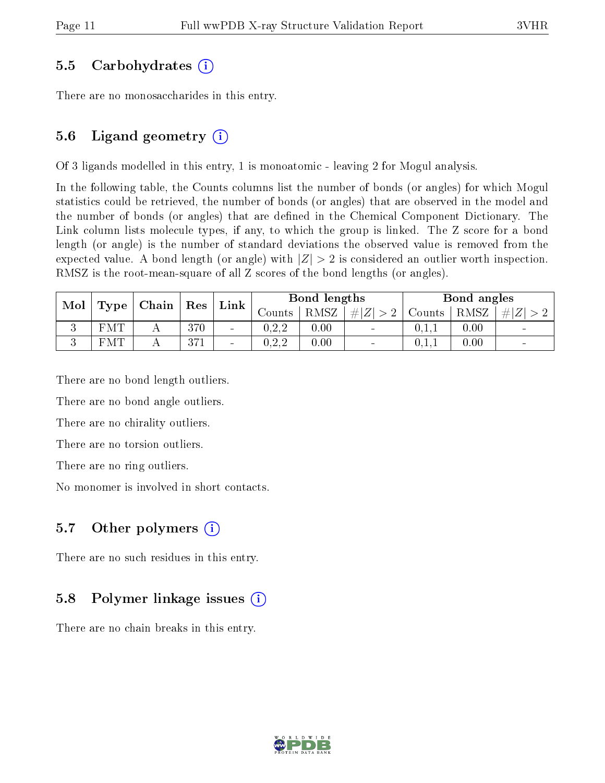### 5.5 Carbohydrates (i)

There are no monosaccharides in this entry.

### 5.6 Ligand geometry  $(i)$

Of 3 ligands modelled in this entry, 1 is monoatomic - leaving 2 for Mogul analysis.

In the following table, the Counts columns list the number of bonds (or angles) for which Mogul statistics could be retrieved, the number of bonds (or angles) that are observed in the model and the number of bonds (or angles) that are defined in the Chemical Component Dictionary. The Link column lists molecule types, if any, to which the group is linked. The Z score for a bond length (or angle) is the number of standard deviations the observed value is removed from the expected value. A bond length (or angle) with  $|Z| > 2$  is considered an outlier worth inspection. RMSZ is the root-mean-square of all Z scores of the bond lengths (or angles).

| Mol |            |  |                    |                              |                    | Chain       | Res    | $^{\circ}$ Link $_{\perp}$ |      | Bond lengths |  |  | Bond angles |  |  |
|-----|------------|--|--------------------|------------------------------|--------------------|-------------|--------|----------------------------|------|--------------|--|--|-------------|--|--|
|     | Type       |  |                    | Counts                       | RMSZ               | # $ Z  > 2$ | Counts | RMSZ                       | H Z  |              |  |  |             |  |  |
| ◡   | <b>FMT</b> |  | 370                | $\qquad \qquad \blacksquare$ | ∩ າ າ<br>U . 4 . 4 | 0.00        |        | 0.1.1                      | 0.00 |              |  |  |             |  |  |
| ιJ  | <b>FMT</b> |  | 0.171<br>- O 1 - L | $\sim$                       | በዓዓ<br>ے ۔ ب       | 0.00        | $\sim$ | 0.1.1                      | 0.00 | $\sim$       |  |  |             |  |  |

There are no bond length outliers.

There are no bond angle outliers.

There are no chirality outliers.

There are no torsion outliers.

There are no ring outliers.

No monomer is involved in short contacts.

### 5.7 [O](https://www.wwpdb.org/validation/2017/XrayValidationReportHelp#nonstandard_residues_and_ligands)ther polymers  $(i)$

There are no such residues in this entry.

### 5.8 Polymer linkage issues  $(i)$

There are no chain breaks in this entry.

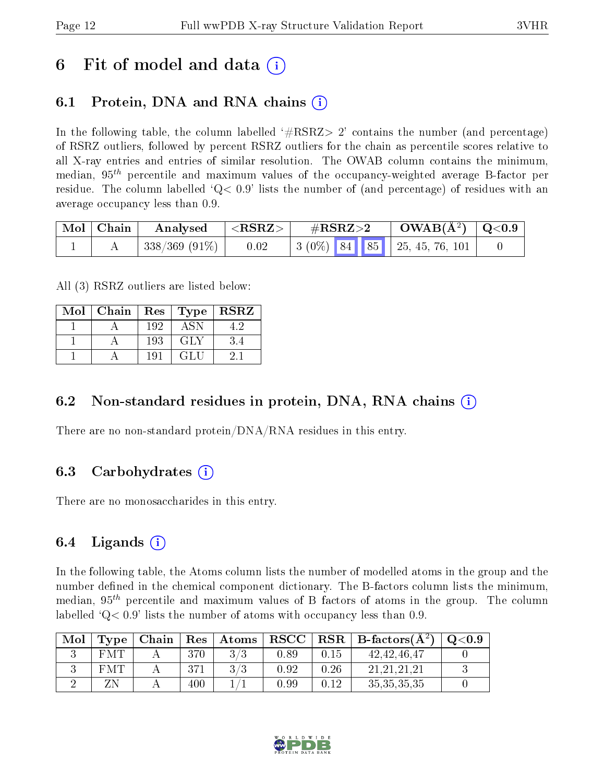## 6 Fit of model and data  $\left( \cdot \right)$

## 6.1 Protein, DNA and RNA chains (i)

In the following table, the column labelled  $#RSRZ>2'$  contains the number (and percentage) of RSRZ outliers, followed by percent RSRZ outliers for the chain as percentile scores relative to all X-ray entries and entries of similar resolution. The OWAB column contains the minimum, median,  $95<sup>th</sup>$  percentile and maximum values of the occupancy-weighted average B-factor per residue. The column labelled  $Q < 0.9$  lists the number of (and percentage) of residues with an average occupancy less than 0.9.

| Mol   Chain | Analysed          | ${ <\hspace{-1.5pt} {\rm RSRZ} \hspace{-1.5pt}>}$ | $\#\text{RSRZ}\text{>2}$ |  | $\rm OWAB(A^2)$ $\vert$ Q<0.9                         |  |
|-------------|-------------------|---------------------------------------------------|--------------------------|--|-------------------------------------------------------|--|
|             | $ 338/369(91\%) $ | 0.02                                              |                          |  | $\vert 3 (0\%)$ 84 85 $\vert 25, 45, 76, 101 \rangle$ |  |

All (3) RSRZ outliers are listed below:

| Mol | Chain | $\operatorname{Res}$ | $\top$ Type | <b>RSRZ</b> |
|-----|-------|----------------------|-------------|-------------|
|     |       | 192                  | ASN.        |             |
|     |       | 193                  | GLY         | 3.4         |
|     |       | 191                  | GLU         |             |

### 6.2 Non-standard residues in protein, DNA, RNA chains  $(i)$

There are no non-standard protein/DNA/RNA residues in this entry.

### 6.3 Carbohydrates  $(i)$

There are no monosaccharides in this entry.

### 6.4 Ligands  $(i)$

In the following table, the Atoms column lists the number of modelled atoms in the group and the number defined in the chemical component dictionary. The B-factors column lists the minimum, median,  $95<sup>th</sup>$  percentile and maximum values of B factors of atoms in the group. The column labelled  $Q< 0.9$ ' lists the number of atoms with occupancy less than 0.9.

| Mol | Type | Chain |     | $\mid$ Res $\mid$ Atoms |            |      | $\mid$ RSCC $\mid$ RSR $\mid$ B-factors( $A^2$ ) | $\mathrm{O}{<}0.9$ |
|-----|------|-------|-----|-------------------------|------------|------|--------------------------------------------------|--------------------|
|     | FMT  |       |     |                         | $_{0.89}$  | 0.15 | 42, 42, 46, 47                                   |                    |
|     | F'M' |       | 371 | 2/2                     | 0.92       | 0.26 | 21.21.21.21                                      |                    |
|     |      |       | 400 |                         | $\rm 0.99$ | 0.12 | 35, 35, 35, 35                                   |                    |